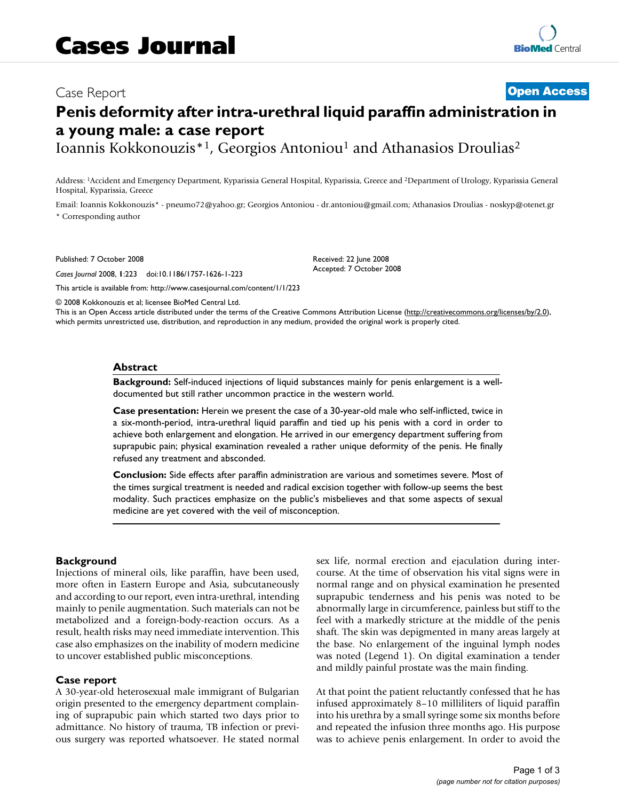# Case Report **[Open Access](http://www.biomedcentral.com/info/about/charter/)**

# **Penis deformity after intra-urethral liquid paraffin administration in a young male: a case report**

Ioannis Kokkonouzis<sup>\*1</sup>, Georgios Antoniou<sup>1</sup> and Athanasios Droulias<sup>2</sup>

Address: 1Accident and Emergency Department, Kyparissia General Hospital, Kyparissia, Greece and 2Department of Urology, Kyparissia General Hospital, Kyparissia, Greece

Email: Ioannis Kokkonouzis\* - pneumo72@yahoo.gr; Georgios Antoniou - dr.antoniou@gmail.com; Athanasios Droulias - noskyp@otenet.gr \* Corresponding author

> Received: 22 June 2008 Accepted: 7 October 2008

Published: 7 October 2008

*Cases Journal* 2008, **1**:223 doi:10.1186/1757-1626-1-223

[This article is available from: http://www.casesjournal.com/content/1/1/223](http://www.casesjournal.com/content/1/1/223)

© 2008 Kokkonouzis et al; licensee BioMed Central Ltd.

This is an Open Access article distributed under the terms of the Creative Commons Attribution License [\(http://creativecommons.org/licenses/by/2.0\)](http://creativecommons.org/licenses/by/2.0), which permits unrestricted use, distribution, and reproduction in any medium, provided the original work is properly cited.

## **Abstract**

**Background:** Self-induced injections of liquid substances mainly for penis enlargement is a welldocumented but still rather uncommon practice in the western world.

**Case presentation:** Herein we present the case of a 30-year-old male who self-inflicted, twice in a six-month-period, intra-urethral liquid paraffin and tied up his penis with a cord in order to achieve both enlargement and elongation. He arrived in our emergency department suffering from suprapubic pain; physical examination revealed a rather unique deformity of the penis. He finally refused any treatment and absconded.

**Conclusion:** Side effects after paraffin administration are various and sometimes severe. Most of the times surgical treatment is needed and radical excision together with follow-up seems the best modality. Such practices emphasize on the public's misbelieves and that some aspects of sexual medicine are yet covered with the veil of misconception.

# **Background**

Injections of mineral oils, like paraffin, have been used, more often in Eastern Europe and Asia, subcutaneously and according to our report, even intra-urethral, intending mainly to penile augmentation. Such materials can not be metabolized and a foreign-body-reaction occurs. As a result, health risks may need immediate intervention. This case also emphasizes on the inability of modern medicine to uncover established public misconceptions.

#### **Case report**

A 30-year-old heterosexual male immigrant of Bulgarian origin presented to the emergency department complaining of suprapubic pain which started two days prior to admittance. No history of trauma, TB infection or previous surgery was reported whatsoever. He stated normal sex life, normal erection and ejaculation during intercourse. At the time of observation his vital signs were in normal range and on physical examination he presented suprapubic tenderness and his penis was noted to be abnormally large in circumference, painless but stiff to the feel with a markedly stricture at the middle of the penis shaft. The skin was depigmented in many areas largely at the base. No enlargement of the inguinal lymph nodes was noted (Legend 1). On digital examination a tender and mildly painful prostate was the main finding.

At that point the patient reluctantly confessed that he has infused approximately 8–10 milliliters of liquid paraffin into his urethra by a small syringe some six months before and repeated the infusion three months ago. His purpose was to achieve penis enlargement. In order to avoid the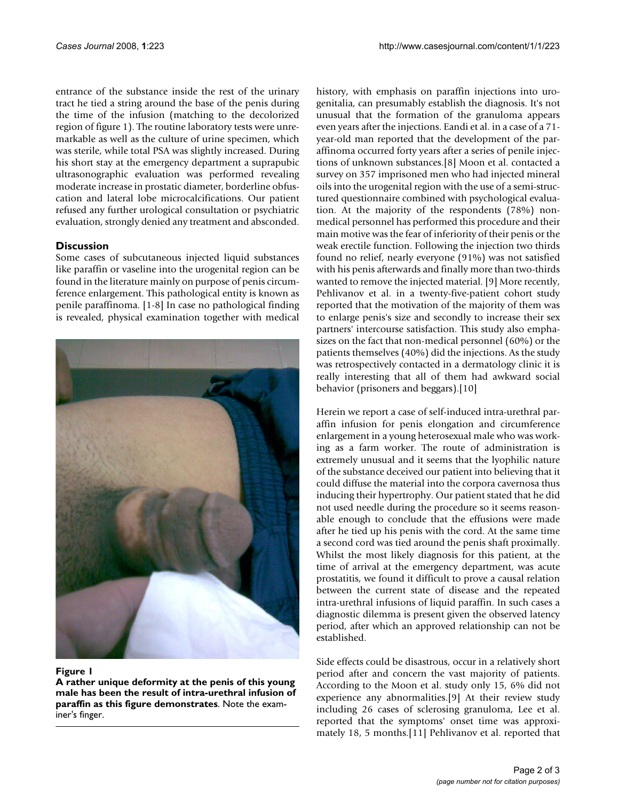entrance of the substance inside the rest of the urinary tract he tied a string around the base of the penis during the time of the infusion (matching to the decolorized region of figure 1). The routine laboratory tests were unremarkable as well as the culture of urine specimen, which was sterile, while total PSA was slightly increased. During his short stay at the emergency department a suprapubic ultrasonographic evaluation was performed revealing moderate increase in prostatic diameter, borderline obfuscation and lateral lobe microcalcifications. Our patient refused any further urological consultation or psychiatric evaluation, strongly denied any treatment and absconded.

# **Discussion**

Some cases of subcutaneous injected liquid substances like paraffin or vaseline into the urogenital region can be found in the literature mainly on purpose of penis circumference enlargement. This pathological entity is known as penile paraffinoma. [1-8] In case no pathological finding is revealed, physical examination together with medical



Figure 1

**A rather unique deformity at the penis of this young male has been the result of intra-urethral infusion of paraffin as this figure demonstrates**. Note the examiner's finger.

history, with emphasis on paraffin injections into urogenitalia, can presumably establish the diagnosis. It's not unusual that the formation of the granuloma appears even years after the injections. Eandi et al. in a case of a 71 year-old man reported that the development of the paraffinoma occurred forty years after a series of penile injections of unknown substances.[8] Moon et al. contacted a survey on 357 imprisoned men who had injected mineral oils into the urogenital region with the use of a semi-structured questionnaire combined with psychological evaluation. At the majority of the respondents (78%) nonmedical personnel has performed this procedure and their main motive was the fear of inferiority of their penis or the weak erectile function. Following the injection two thirds found no relief, nearly everyone (91%) was not satisfied with his penis afterwards and finally more than two-thirds wanted to remove the injected material. [9] More recently, Pehlivanov et al. in a twenty-five-patient cohort study reported that the motivation of the majority of them was to enlarge penis's size and secondly to increase their sex partners' intercourse satisfaction. This study also emphasizes on the fact that non-medical personnel (60%) or the patients themselves (40%) did the injections. As the study was retrospectively contacted in a dermatology clinic it is really interesting that all of them had awkward social behavior (prisoners and beggars).[10]

Herein we report a case of self-induced intra-urethral paraffin infusion for penis elongation and circumference enlargement in a young heterosexual male who was working as a farm worker. The route of administration is extremely unusual and it seems that the lyophilic nature of the substance deceived our patient into believing that it could diffuse the material into the corpora cavernosa thus inducing their hypertrophy. Our patient stated that he did not used needle during the procedure so it seems reasonable enough to conclude that the effusions were made after he tied up his penis with the cord. At the same time a second cord was tied around the penis shaft proximally. Whilst the most likely diagnosis for this patient, at the time of arrival at the emergency department, was acute prostatitis, we found it difficult to prove a causal relation between the current state of disease and the repeated intra-urethral infusions of liquid paraffin. In such cases a diagnostic dilemma is present given the observed latency period, after which an approved relationship can not be established.

Side effects could be disastrous, occur in a relatively short period after and concern the vast majority of patients. According to the Moon et al. study only 15, 6% did not experience any abnormalities.[9] At their review study including 26 cases of sclerosing granuloma, Lee et al. reported that the symptoms' onset time was approximately 18, 5 months.[11] Pehlivanov et al. reported that